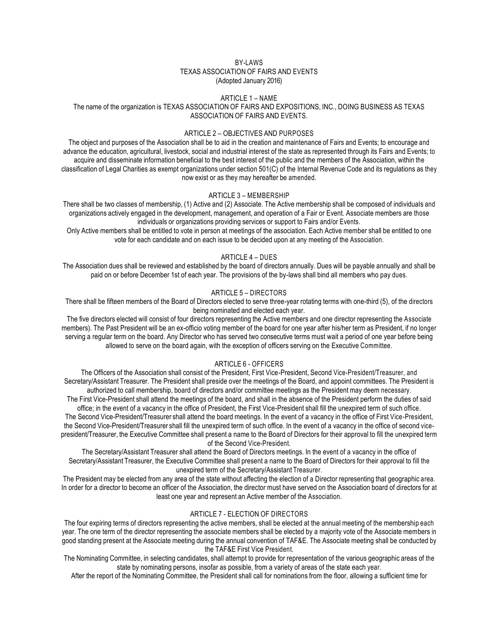#### BY-LAWS TEXAS ASSOCIATION OF FAIRS AND EVENTS (Adopted January 2016)

#### ARTICLE 1 – NAME

## The name of the organization is TEXAS ASSOCIATION OF FAIRS AND EXPOSITIONS, INC., DOING BUSINESS AS TEXAS ASSOCIATION OF FAIRS AND EVENTS.

## ARTICLE 2 – OBJECTIVES AND PURPOSES

The object and purposes of the Association shall be to aid in the creation and maintenance of Fairs and Events; to encourage and advance the education, agricultural, livestock, social and industrial interest of the state as represented through its Fairs and Events; to acquire and disseminate information beneficial to the best interest of the public and the members of the Association, within the classification of Legal Charities as exempt organizations under section 501(C) of the Internal Revenue Code and its regulations as they now exist or as they may hereafter be amended.

#### ARTICLE 3 – MEMBERSHIP

There shall be two classes of membership, (1) Active and (2) Associate. The Active membership shall be composed of individuals and organizations actively engaged in the development, management, and operation of a Fair or Event. Associate members are those individuals or organizations providing services or support to Fairs and/or Events.

Only Active members shall be entitled to vote in person at meetings of the association. Each Active member shall be entitled to one vote for each candidate and on each issue to be decided upon at any meeting of the Association.

## ARTICLE 4 – DUES

The Association dues shall be reviewed and established by the board of directors annually. Dues will be payable annually and shall be paid on or before December 1st of each year. The provisions of the by-laws shall bind all members who pay dues.

## ARTICLE 5 – DIRECTORS

There shall be fifteen members of the Board of Directors elected to serve three-year rotating terms with one-third (5), of the directors being nominated and elected each year.

The five directors elected will consist of four directors representing the Active members and one director representing the Associate members). The Past President will be an ex-officio voting member of the board for one year after his/her term as President, if no longer serving a regular term on the board. Any Director who has served two consecutive terms must wait a period of one year before being allowed to serve on the board again, with the exception of officers serving on the Executive Committee.

## ARTICLE 6 - OFFICERS

The Officers of the Association shall consist of the President, First Vice-President, Second Vice-President/Treasurer, and Secretary/Assistant Treasurer. The President shall preside over the meetings of the Board, and appoint committees. The President is authorized to call membership, board of directors and/or committee meetings as the President may deem necessary.

The First Vice-President shall attend the meetings of the board, and shall in the absence of the President perform the duties of said office; in the event of a vacancy in the office of President, the First Vice-President shall fill the unexpired term of such office. The Second Vice-President/Treasurer shall attend the board meetings. In the event of a vacancy in the office of First Vice-President, the Second Vice-President/Treasurer shall fill the unexpired term of such office. In the event of a vacancy in the office of second vicepresident/Treasurer, the Executive Committee shall present a name to the Board of Directors for their approval to fill the unexpired term

of the Second Vice-President.

The Secretary/Assistant Treasurer shall attend the Board of Directors meetings. In the event of a vacancy in the office of Secretary/Assistant Treasurer, the Executive Committee shall present a name to the Board of Directors for their approval to fill the unexpired term of the Secretary/Assistant Treasurer.

The President may be elected from any area of the state without affecting the election of a Director representing that geographic area. In order for a director to become an officer of the Association, the director must have served on the Association board of directors for at least one year and represent an Active member of the Association.

#### ARTICLE 7 - ELECTION OF DIRECTORS

The four expiring terms of directors representing the active members, shall be elected at the annual meeting of the membership each year. The one term of the director representing the associate members shall be elected by a majority vote of the Associate members in good standing present at the Associate meeting during the annual convention of TAF&E. The Associate meeting shall be conducted by the TAF&E First Vice President.

The Nominating Committee, in selecting candidates, shall attempt to provide for representation of the various geographic areas of the state by nominating persons, insofar as possible, from a variety of areas of the state each year.

After the report of the Nominating Committee, the President shall call for nominations from the floor, allowing a sufficient time for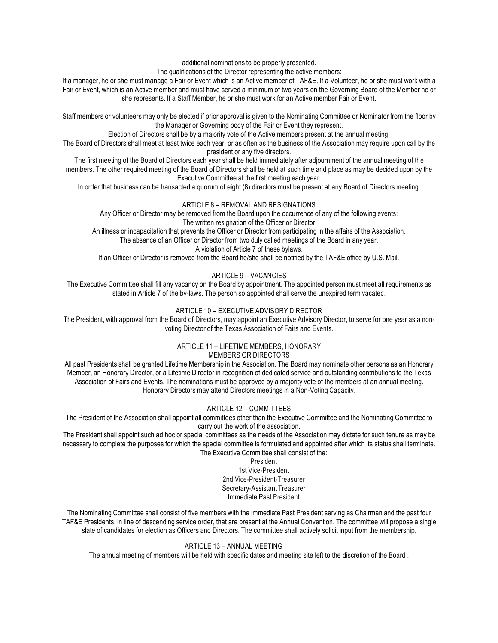additional nominations to be properly presented.

The qualifications of the Director representing the active members:

If a manager, he or she must manage a Fair or Event which is an Active member of TAF&E. If a Volunteer, he or she must work with a Fair or Event, which is an Active member and must have served a minimum of two years on the Governing Board of the Member he or she represents. If a Staff Member, he or she must work for an Active member Fair or Event.

Staff members or volunteers may only be elected if prior approval is given to the Nominating Committee or Nominator from the floor by the Manager or Governing body of the Fair or Event they represent.

Election of Directors shall be by a majority vote of the Active members present at the annual meeting.

The Board of Directors shall meet at least twice each year, or as often as the business of the Association may require upon call by the president or any five directors.

The first meeting of the Board of Directors each year shall be held immediately after adjournment of the annual meeting of the members. The other required meeting of the Board of Directors shall be held at such time and place as may be decided upon by the Executive Committee at the first meeting each year.

In order that business can be transacted a quorum of eight (8) directors must be present at any Board of Directors meeting.

## ARTICLE 8 – REMOVAL AND RESIGNATIONS

Any Officer or Director may be removed from the Board upon the occurrence of any of the following events: The written resignation of the Officer or Director

An illness or incapacitation that prevents the Officer or Director from participating in the affairs of the Association. The absence of an Officer or Director from two duly called meetings of the Board in any year.

A violation of Article 7 of these bylaws.

If an Officer or Director is removed from the Board he/she shall be notified by the TAF&E office by U.S. Mail.

# ARTICLE 9 – VACANCIES

The Executive Committee shall fill any vacancy on the Board by appointment. The appointed person must meet all requirements as stated in Article 7 of the by-laws. The person so appointed shall serve the unexpired term vacated.

# ARTICLE 10 – EXECUTIVE ADVISORY DIRECTOR

The President, with approval from the Board of Directors, may appoint an Executive Advisory Director, to serve for one year as a nonvoting Director of the Texas Association of Fairs and Events.

#### ARTICLE 11 – LIFETIME MEMBERS, HONORARY MEMBERS OR DIRECTORS

All past Presidents shall be granted Lifetime Membership in the Association. The Board may nominate other persons as an Honorary Member, an Honorary Director, or a Lifetime Director in recognition of dedicated service and outstanding contributions to the Texas Association of Fairs and Events. The nominations must be approved by a majority vote of the members at an annual meeting. Honorary Directors may attend Directors meetings in a Non-Voting Capacity.

# ARTICLE 12 – COMMITTEES

The President of the Association shall appoint all committees other than the Executive Committee and the Nominating Committee to carry out the work of the association.

The President shall appoint such ad hoc or special committees as the needs of the Association may dictate for such tenure as may be necessary to complete the purposes for which the special committee is formulated and appointed after which its status shall terminate. The Executive Committee shall consist of the:

President 1st Vice-President 2nd Vice-President-Treasurer Secretary-Assistant Treasurer Immediate Past President

The Nominating Committee shall consist of five members with the immediate Past President serving as Chairman and the past four TAF&E Presidents, in line of descending service order, that are present at the Annual Convention. The committee will propose a single slate of candidates for election as Officers and Directors. The committee shall actively solicit input from the membership.

# ARTICLE 13 – ANNUAL MEETING

The annual meeting of members will be held with specific dates and meeting site left to the discretion of the Board .